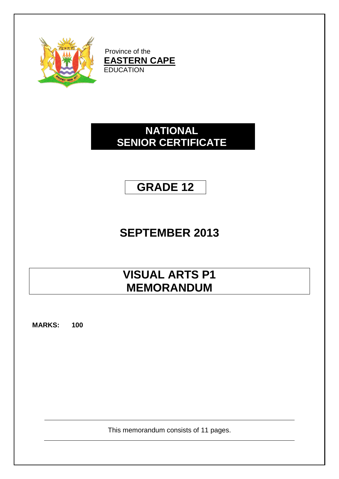

Province of the **EASTERN CAPE** EDUCATION

### **NATIONAL SENIOR CERTIFICATE**

### **GRADE 12**

## **SEPTEMBER 2013**

## **VISUAL ARTS P1 MEMORANDUM**

**MARKS: 100**

This memorandum consists of 11 pages.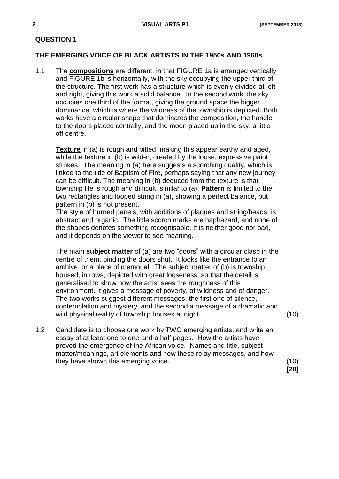#### **THE EMERGING VOICE OF BLACK ARTISTS IN THE 1950s AND 1960s.**

1.1 The **compositions** are different, in that FIGURE 1a is arranged vertically and FIGURE 1b is horizontally, with the sky occupying the upper third of the structure. The first work has a structure which is evenly divided at left and right, giving this work a solid balance. In the second work, the sky occupies one third of the format, giving the ground space the bigger dominance, which is where the wildness of the township is depicted. Both works have a circular shape that dominates the composition, the handle to the doors placed centrally, and the moon placed up in the sky, a little off centre.

**Texture** in (a) is rough and pitted, making this appear earthy and aged, while the texture in (b) is wilder, created by the loose, expressive paint strokes. The meaning in (a) here suggests a scorching quality, which is linked to the title of Baptism of Fire, perhaps saying that any new journey can be difficult. The meaning in (b) deduced from the texture is that township life is rough and difficult, similar to (a). **Pattern** is limited to the two rectangles and looped string in (a), showing a perfect balance, but pattern in (b) is not present.

The style of burned panels, with additions of plaques and string/beads, is abstract and organic. The little scorch marks are haphazard, and none of the shapes denotes something recognisable. It is neither good nor bad, and it depends on the viewer to see meaning.

The main **subject matter** of (a) are two "doors" with a circular clasp in the centre of them, binding the doors shut. It looks like the entrance to an archive, or a place of memorial. The subject matter of (b) is township housed, in rows, depicted with great looseness, so that the detail is generalised to show how the artist sees the roughness of this environment. It gives a message of poverty, of wildness and of danger. The two works suggest different messages, the first one of silence, contemplation and mystery, and the second a message of a dramatic and wild physical reality of township houses at night. (10)

1.2 Candidate is to choose one work by TWO emerging artists, and write an essay of at least one to one and a half pages. How the artists have proved the emergence of the African voice. Names and title, subject matter/meanings, art elements and how these relay messages, and how they have shown this emerging voice. (10)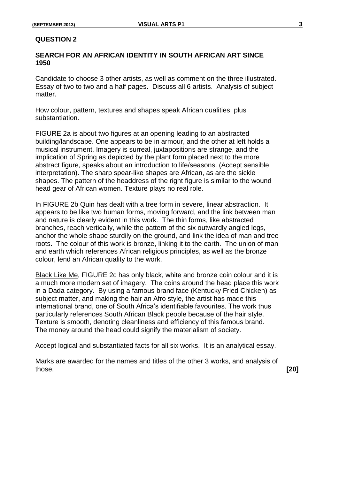#### **SEARCH FOR AN AFRICAN IDENTITY IN SOUTH AFRICAN ART SINCE 1950**

Candidate to choose 3 other artists, as well as comment on the three illustrated. Essay of two to two and a half pages. Discuss all 6 artists. Analysis of subject matter.

How colour, pattern, textures and shapes speak African qualities, plus substantiation.

FIGURE 2a is about two figures at an opening leading to an abstracted building/landscape. One appears to be in armour, and the other at left holds a musical instrument. Imagery is surreal, juxtapositions are strange, and the implication of Spring as depicted by the plant form placed next to the more abstract figure, speaks about an introduction to life/seasons. (Accept sensible interpretation). The sharp spear-like shapes are African, as are the sickle shapes. The pattern of the headdress of the right figure is similar to the wound head gear of African women. Texture plays no real role.

In FIGURE 2b Quin has dealt with a tree form in severe, linear abstraction. It appears to be like two human forms, moving forward, and the link between man and nature is clearly evident in this work. The thin forms, like abstracted branches, reach vertically, while the pattern of the six outwardly angled legs, anchor the whole shape sturdily on the ground, and link the idea of man and tree roots. The colour of this work is bronze, linking it to the earth. The union of man and earth which references African religious principles, as well as the bronze colour, lend an African quality to the work.

Black Like Me, FIGURE 2c has only black, white and bronze coin colour and it is a much more modern set of imagery. The coins around the head place this work in a Dada category. By using a famous brand face (Kentucky Fried Chicken) as subject matter, and making the hair an Afro style, the artist has made this international brand, one of South Africa's identifiable favourites. The work thus particularly references South African Black people because of the hair style. Texture is smooth, denoting cleanliness and efficiency of this famous brand. The money around the head could signify the materialism of society.

Accept logical and substantiated facts for all six works. It is an analytical essay.

Marks are awarded for the names and titles of the other 3 works, and analysis of those. **[20]**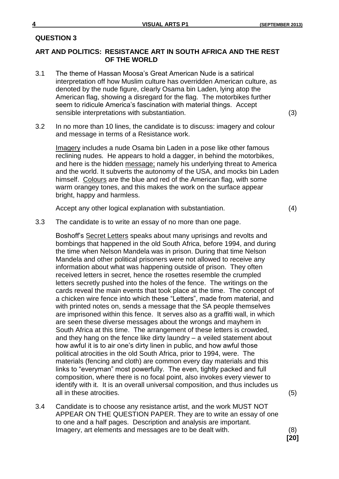#### **ART AND POLITICS: RESISTANCE ART IN SOUTH AFRICA AND THE REST OF THE WORLD**

3.1 The theme of Hassan Moosa's Great American Nude is a satirical interpretation off how Muslim culture has overridden American culture, as denoted by the nude figure, clearly Osama bin Laden, lying atop the American flag, showing a disregard for the flag. The motorbikes further seem to ridicule America's fascination with material things. Accept sensible interpretations with substantiation. (3)

3.2 In no more than 10 lines, the candidate is to discuss: imagery and colour and message in terms of a Resistance work.

Imagery includes a nude Osama bin Laden in a pose like other famous reclining nudes. He appears to hold a dagger, in behind the motorbikes, and here is the hidden message; namely his underlying threat to America and the world. It subverts the autonomy of the USA, and mocks bin Laden himself. Colours are the blue and red of the American flag, with some warm orangey tones, and this makes the work on the surface appear bright, happy and harmless.

Accept any other logical explanation with substantiation. (4)

**[20]**

3.3 The candidate is to write an essay of no more than one page.

Boshoff's Secret Letters speaks about many uprisings and revolts and bombings that happened in the old South Africa, before 1994, and during the time when Nelson Mandela was in prison. During that time Nelson Mandela and other political prisoners were not allowed to receive any information about what was happening outside of prison. They often received letters in secret, hence the rosettes resemble the crumpled letters secretly pushed into the holes of the fence. The writings on the cards reveal the main events that took place at the time. The concept of a chicken wire fence into which these "Letters", made from material, and with printed notes on, sends a message that the SA people themselves are imprisoned within this fence. It serves also as a graffiti wall, in which are seen these diverse messages about the wrongs and mayhem in South Africa at this time. The arrangement of these letters is crowded, and they hang on the fence like dirty laundry – a veiled statement about how awful it is to air one's dirty linen in public, and how awful those political atrocities in the old South Africa, prior to 1994, were. The materials (fencing and cloth) are common every day materials and this links to "everyman" most powerfully. The even, tightly packed and full composition, where there is no focal point, also invokes every viewer to identify with it. It is an overall universal composition, and thus includes us all in these atrocities. (5)

3.4 Candidate is to choose any resistance artist, and the work MUST NOT APPEAR ON THE QUESTION PAPER. They are to write an essay of one to one and a half pages. Description and analysis are important. Imagery, art elements and messages are to be dealt with. (8)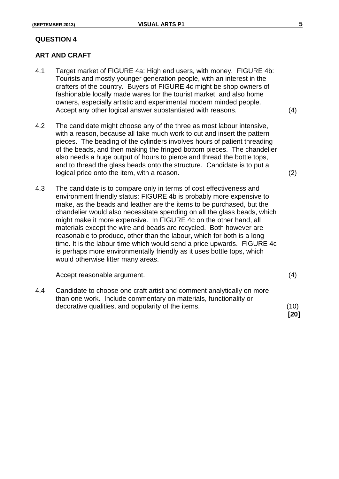#### **ART AND CRAFT**

- 4.1 Target market of FIGURE 4a: High end users, with money. FIGURE 4b: Tourists and mostly younger generation people, with an interest in the crafters of the country. Buyers of FIGURE 4c might be shop owners of fashionable locally made wares for the tourist market, and also home owners, especially artistic and experimental modern minded people. Accept any other logical answer substantiated with reasons. (4)
- 4.2 The candidate might choose any of the three as most labour intensive, with a reason, because all take much work to cut and insert the pattern pieces. The beading of the cylinders involves hours of patient threading of the beads, and then making the fringed bottom pieces. The chandelier also needs a huge output of hours to pierce and thread the bottle tops, and to thread the glass beads onto the structure. Candidate is to put a logical price onto the item, with a reason. (2)
- 4.3 The candidate is to compare only in terms of cost effectiveness and environment friendly status: FIGURE 4b is probably more expensive to make, as the beads and leather are the items to be purchased, but the chandelier would also necessitate spending on all the glass beads, which might make it more expensive. In FIGURE 4c on the other hand, all materials except the wire and beads are recycled. Both however are reasonable to produce, other than the labour, which for both is a long time. It is the labour time which would send a price upwards. FIGURE 4c is perhaps more environmentally friendly as it uses bottle tops, which would otherwise litter many areas.

Accept reasonable argument. (4)

4.4 Candidate to choose one craft artist and comment analytically on more than one work. Include commentary on materials, functionality or decorative qualities, and popularity of the items. (10)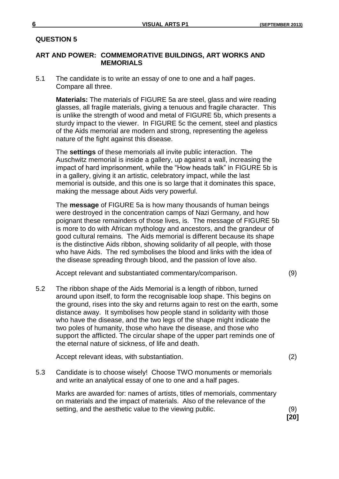#### **ART AND POWER: COMMEMORATIVE BUILDINGS, ART WORKS AND MEMORIALS**

5.1 The candidate is to write an essay of one to one and a half pages. Compare all three.

**Materials:** The materials of FIGURE 5a are steel, glass and wire reading glasses, all fragile materials, giving a tenuous and fragile character. This is unlike the strength of wood and metal of FIGURE 5b, which presents a sturdy impact to the viewer. In FIGURE 5c the cement, steel and plastics of the Aids memorial are modern and strong, representing the ageless nature of the fight against this disease.

The **settings** of these memorials all invite public interaction. The Auschwitz memorial is inside a gallery, up against a wall, increasing the impact of hard imprisonment, while the "How heads talk" in FIGURE 5b is in a gallery, giving it an artistic, celebratory impact, while the last memorial is outside, and this one is so large that it dominates this space, making the message about Aids very powerful.

The **message** of FIGURE 5a is how many thousands of human beings were destroyed in the concentration camps of Nazi Germany, and how poignant these remainders of those lives, is. The message of FIGURE 5b is more to do with African mythology and ancestors, and the grandeur of good cultural remains. The Aids memorial is different because its shape is the distinctive Aids ribbon, showing solidarity of all people, with those who have Aids. The red symbolises the blood and links with the idea of the disease spreading through blood, and the passion of love also.

Accept relevant and substantiated commentary/comparison. (9)

5.2 The ribbon shape of the Aids Memorial is a length of ribbon, turned around upon itself, to form the recognisable loop shape. This begins on the ground, rises into the sky and returns again to rest on the earth, some distance away. It symbolises how people stand in solidarity with those who have the disease, and the two legs of the shape might indicate the two poles of humanity, those who have the disease, and those who support the afflicted. The circular shape of the upper part reminds one of the eternal nature of sickness, of life and death.

Accept relevant ideas, with substantiation. (2)

5.3 Candidate is to choose wisely! Choose TWO monuments or memorials and write an analytical essay of one to one and a half pages.

Marks are awarded for: names of artists, titles of memorials, commentary on materials and the impact of materials. Also of the relevance of the setting, and the aesthetic value to the viewing public. (9)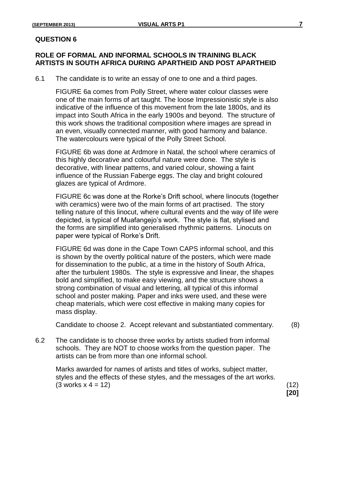#### **ROLE OF FORMAL AND INFORMAL SCHOOLS IN TRAINING BLACK ARTISTS IN SOUTH AFRICA DURING APARTHEID AND POST APARTHEID**

6.1 The candidate is to write an essay of one to one and a third pages.

FIGURE 6a comes from Polly Street, where water colour classes were one of the main forms of art taught. The loose Impressionistic style is also indicative of the influence of this movement from the late 1800s, and its impact into South Africa in the early 1900s and beyond. The structure of this work shows the traditional composition where images are spread in an even, visually connected manner, with good harmony and balance. The watercolours were typical of the Polly Street School.

FIGURE 6b was done at Ardmore in Natal, the school where ceramics of this highly decorative and colourful nature were done. The style is decorative, with linear patterns, and varied colour, showing a faint influence of the Russian Faberge eggs. The clay and bright coloured glazes are typical of Ardmore.

FIGURE 6c was done at the Rorke's Drift school, where linocuts (together with ceramics) were two of the main forms of art practised. The story telling nature of this linocut, where cultural events and the way of life were depicted, is typical of Muafangejo's work. The style is flat, stylised and the forms are simplified into generalised rhythmic patterns. Linocuts on paper were typical of Rorke's Drift.

FIGURE 6d was done in the Cape Town CAPS informal school, and this is shown by the overtly political nature of the posters, which were made for dissemination to the public, at a time in the history of South Africa, after the turbulent 1980s. The style is expressive and linear, the shapes bold and simplified, to make easy viewing, and the structure shows a strong combination of visual and lettering, all typical of this informal school and poster making. Paper and inks were used, and these were cheap materials, which were cost effective in making many copies for mass display.

Candidate to choose 2. Accept relevant and substantiated commentary. (8)

6.2 The candidate is to choose three works by artists studied from informal schools. They are NOT to choose works from the question paper. The artists can be from more than one informal school.

Marks awarded for names of artists and titles of works, subject matter, styles and the effects of these styles, and the messages of the art works.  $(3 \text{ works } x \ 4 = 12)$  (12)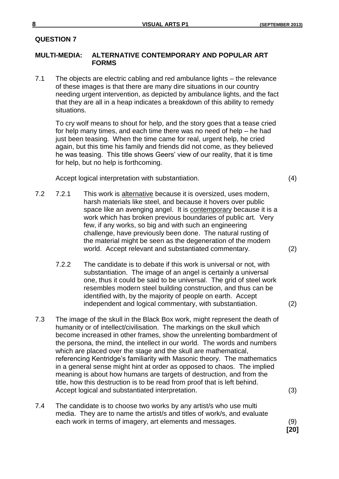#### **MULTI-MEDIA: ALTERNATIVE CONTEMPORARY AND POPULAR ART FORMS**

7.1 The objects are electric cabling and red ambulance lights – the relevance of these images is that there are many dire situations in our country needing urgent intervention, as depicted by ambulance lights, and the fact that they are all in a heap indicates a breakdown of this ability to remedy situations.

To cry wolf means to shout for help, and the story goes that a tease cried for help many times, and each time there was no need of help – he had just been teasing. When the time came for real, urgent help, he cried again, but this time his family and friends did not come, as they believed he was teasing. This title shows Geers' view of our reality, that it is time for help, but no help is forthcoming.

Accept logical interpretation with substantiation. (4)

- 7.2 7.2.1 This work is alternative because it is oversized, uses modern, harsh materials like steel, and because it hovers over public space like an avenging angel. It is contemporary because it is a work which has broken previous boundaries of public art. Very few, if any works, so big and with such an engineering challenge, have previously been done. The natural rusting of the material might be seen as the degeneration of the modern world. Accept relevant and substantiated commentary. (2)
	- 7.2.2 The candidate is to debate if this work is universal or not, with substantiation. The image of an angel is certainly a universal one, thus it could be said to be universal. The grid of steel work resembles modern steel building construction, and thus can be identified with, by the majority of people on earth. Accept independent and logical commentary, with substantiation. (2)
- 7.3 The image of the skull in the Black Box work, might represent the death of humanity or of intellect/civilisation. The markings on the skull which become increased in other frames, show the unrelenting bombardment of the persona, the mind, the intellect in our world. The words and numbers which are placed over the stage and the skull are mathematical, referencing Kentridge's familiarity with Masonic theory. The mathematics in a general sense might hint at order as opposed to chaos. The implied meaning is about how humans are targets of destruction, and from the title, how this destruction is to be read from proof that is left behind. Accept logical and substantiated interpretation. (3)
- 7.4 The candidate is to choose two works by any artist/s who use multi media. They are to name the artist/s and titles of work/s, and evaluate each work in terms of imagery, art elements and messages. (9)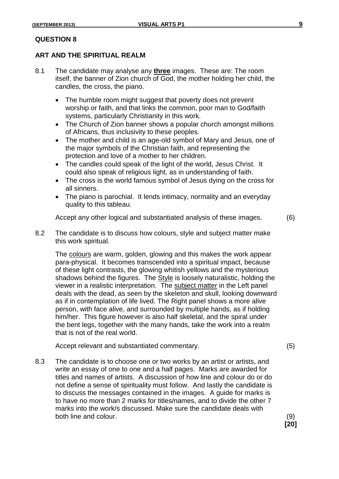#### **ART AND THE SPIRITUAL REALM**

- 8.1 The candidate may analyse any **three** images. These are: The room itself, the banner of Zion church of God, the mother holding her child, the candles, the cross, the piano.
	- The humble room might suggest that poverty does not prevent worship or faith, and that links the common, poor man to God/faith systems, particularly Christianity in this work.
	- The Church of Zion banner shows a popular church amongst millions of Africans, thus inclusivity to these peoples.
	- The mother and child is an age-old symbol of Mary and Jesus, one of the major symbols of the Christian faith, and representing the protection and love of a mother to her children.
	- The candles could speak of the light of the world, Jesus Christ. It could also speak of religious light, as in understanding of faith.
	- The cross is the world famous symbol of Jesus dying on the cross for all sinners.
	- The piano is parochial. It lends intimacy, normality and an everyday quality to this tableau.

Accept any other logical and substantiated analysis of these images. (6)

8.2 The candidate is to discuss how colours, style and subject matter make this work spiritual.

The colours are warm, golden, glowing and this makes the work appear para-physical. It becomes transcended into a spiritual impact, because of these light contrasts, the glowing whitish yellows and the mysterious shadows behind the figures. The Style is loosely naturalistic, holding the viewer in a realistic interpretation. The subject matter in the Left panel deals with the dead, as seen by the skeleton and skull, looking downward as if in contemplation of life lived. The Right panel shows a more alive person, with face alive, and surrounded by multiple hands, as if holding him/her. This figure however is also half skeletal, and the spiral under the bent legs, together with the many hands, take the work into a realm that is not of the real world.

Accept relevant and substantiated commentary. (5)

**[20]**

8.3 The candidate is to choose one or two works by an artist or artists, and write an essay of one to one and a half pages. Marks are awarded for titles and names of artists. A discussion of how line and colour do or do not define a sense of spirituality must follow. And lastly the candidate is to discuss the messages contained in the images. A guide for marks is to have no more than 2 marks for titles/names, and to divide the other 7 marks into the work/s discussed. Make sure the candidate deals with both line and colour. (9)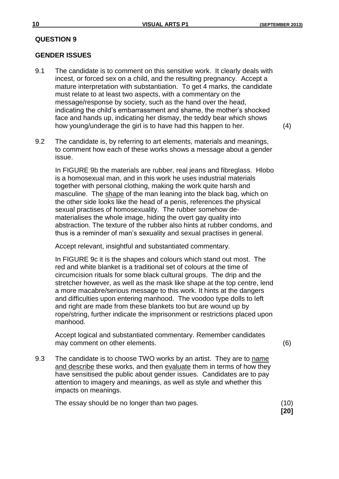#### **GENDER ISSUES**

9.1 The candidate is to comment on this sensitive work. It clearly deals with incest, or forced sex on a child, and the resulting pregnancy. Accept a mature interpretation with substantiation. To get 4 marks, the candidate must relate to at least two aspects, with a commentary on the message/response by society, such as the hand over the head, indicating the child's embarrassment and shame, the mother's shocked face and hands up, indicating her dismay, the teddy bear which shows how young/underage the girl is to have had this happen to her. (4)

9.2 The candidate is, by referring to art elements, materials and meanings, to comment how each of these works shows a message about a gender issue.

In FIGURE 9b the materials are rubber, real jeans and fibreglass. Hlobo is a homosexual man, and in this work he uses industrial materials together with personal clothing, making the work quite harsh and masculine. The shape of the man leaning into the black bag, which on the other side looks like the head of a penis, references the physical sexual practises of homosexuality. The rubber somehow dematerialises the whole image, hiding the overt gay quality into abstraction. The texture of the rubber also hints at rubber condoms, and thus is a reminder of man's sexuality and sexual practises in general.

Accept relevant, insightful and substantiated commentary.

In FIGURE 9c it is the shapes and colours which stand out most. The red and white blanket is a traditional set of colours at the time of circumcision rituals for some black cultural groups. The drip and the stretcher however, as well as the mask like shape at the top centre, lend a more macabre/serious message to this work. It hints at the dangers and difficulties upon entering manhood. The voodoo type dolls to left and right are made from these blankets too but are wound up by rope/string, further indicate the imprisonment or restrictions placed upon manhood.

Accept logical and substantiated commentary. Remember candidates may comment on other elements. (6)

9.3 The candidate is to choose TWO works by an artist. They are to name and describe these works, and then evaluate them in terms of how they have sensitised the public about gender issues. Candidates are to pay attention to imagery and meanings, as well as style and whether this impacts on meanings.

The essay should be no longer than two pages. (10)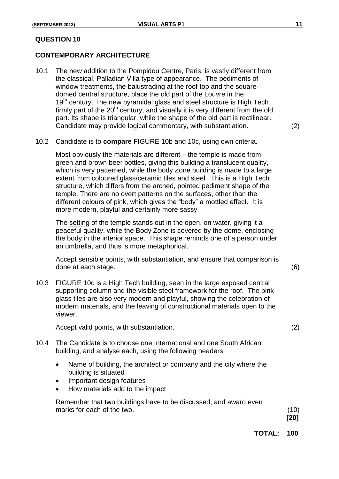#### **CONTEMPORARY ARCHITECTURE**

- 10.1 The new addition to the Pompidou Centre, Paris, is vastly different from the classical, Palladian Villa type of appearance. The pediments of window treatments, the balustrading at the roof top and the squaredomed central structure, place the old part of the Louvre in the 19<sup>th</sup> century. The new pyramidal glass and steel structure is High Tech, firmly part of the  $20<sup>th</sup>$  century, and visually it is very different from the old part. Its shape is triangular, while the shape of the old part is rectilinear. Candidate may provide logical commentary, with substantiation. (2)
	-
- 10.2 Candidate is to **compare** FIGURE 10b and 10c, using own criteria.

Most obviously the materials are different – the temple is made from green and brown beer bottles, giving this building a translucent quality, which is very patterned, while the body Zone building is made to a large extent from coloured glass/ceramic tiles and steel. This is a High Tech structure, which differs from the arched, pointed pediment shape of the temple. There are no overt patterns on the surfaces, other than the different colours of pink, which gives the "body" a mottled effect. It is more modern, playful and certainly more sassy.

The setting of the temple stands out in the open, on water, giving it a peaceful quality, while the Body Zone is covered by the dome, enclosing the body in the interior space. This shape reminds one of a person under an umbrella, and thus is more metaphorical.

Accept sensible points, with substantiation, and ensure that comparison is done at each stage. (6)

10.3 FIGURE 10c is a High Tech building, seen in the large exposed central supporting column and the visible steel framework for the roof. The pink glass tiles are also very modern and playful, showing the celebration of modern materials, and the leaving of constructional materials open to the viewer.

Accept valid points, with substantiation. (2)

- 10.4 The Candidate is to choose one International and one South African building, and analyse each, using the following headers;
	- Name of building, the architect or company and the city where the building is situated
	- Important design features
	- How materials add to the impact

Remember that two buildings have to be discussed, and award even marks for each of the two. (10)

**[20]**

**TOTAL: 100**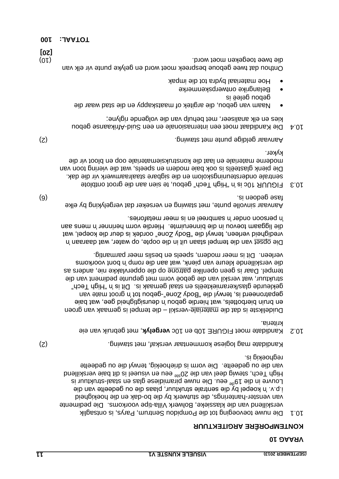#### **KONTEMPORERE ARGITEKTUUR**

Die nuwe toevoeging tot die Pompidou Sentrum, Parys, is ontsaglik 10.1 verskillend van die klassieke, Bolwerk Villa-tipe voorkoms. Die pedimente van venster-hanterings, die stutwerk by die bo-dak en die hoekigheid i.p.v. 'n koepel by die sentrale struktuur, plaas die ou gedeelte van die Louvre in die 19<sup>de</sup> eeu. Die nuwe piramidiese glas en staal-struktuur is High Tech, stewig deel van die 20<sup>ste</sup> eeu en visueel is dit baie verskillend van die ou gedeelte. Die vorm is driehoekig, terwyl die ou gedeelte . reghoekig is

Kandidate mag logiese kommentaar verskaf, met stawing.

10.2 Kandidate moet FIGURE 10b en 10c **vergelyk**, met gebruik van eie . kriteria

Duidelikste is dat die meteriale-verskil – die tempel is gemaak van groen en bruin bierbottels, wat hierdie gebou 'n deursigtigheid gee, wat baie gebatroueerd is, terwyl die "Body Zone"-gebou tot 'n groot mate van gekleurde glas/keramiekteëls en staal gemaak is. Dit is in "High Tech" struktuur, wat verskil van die geboë vorm met gepunte pediment van die tempel. Daar is geen openlike patrone op die oppervlakke nie, anders as die verskillende kleure van pienk, wat aan die romp 'n bont voorkoms . verleen. Dit is meer modern, speels en beslis meer parmantig

Die opset van die tempel staan uit in die oopte, op water, wat daaraan 'n vredigheid verleen, terwyl die "Body Zone" oordek is deur die koepel, wat liggaam toevou in die binneruimte. Hierdie vorm herinner 'n mens aan die . 'n persoon onder 'n sambreel en is meer metafories

Aanvaar sinvolle punte, met stawing en verseker dat vergelyking by elke (6) . fase gedoen is

atoldtho toong eib nas neis et uodeg "doeT dgiH" n' ai 501 RUUDIR 6.01 sentrale ondersteuningskolom en die sigbare staalraamwerk vir die dak. Die pienk glasteëls is ook baie modern en speels, wat die viering toon van moderne materiale en laat die konstruksiemateriale oop en bloot vir die kyker.

Aanvaar geldige punte met stawing.<br>
C)

- Afrikaanse gebou is en internasionale en een Suid-birikaanse gebou ; kies en elk analiseer, met behulp van die volgende riglyne
- Naam van gebou, die argitek of maatskappy en die stad waar die gepon deleë is
- Belangrike ontwerpskenmerke
- Hoe materiaal bydra tot die impak

Onthou dat twee geboue bespreek moet word en gelyke punte vir elk van (10) . die twee toegeken moet word **[20]**

**001 : JAATOT**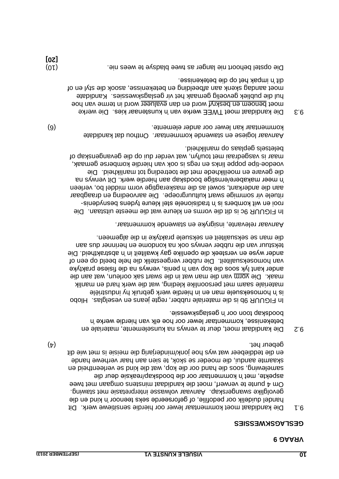#### **GESLAGSKWESSIES**

- 9.1 Die kandidaat moet kommentaar lewer oor hierdie sensitiewe werk. Dit duidelik oor pedofilie, of geforseerde seks teenoor 'n kind en die handel gevolglike swangerskap. Aanvaar volwasse interpretasie met stawing. Om 4 punte te verwerf, moet die kandidaat minstens omgaan met twee aspekte, met 'n kommentaar oor die boodskap/reaksie deur die samelewing, soos die hand oor die kop, wat die kind se verleentheid en skaamte aandui, die moeder se skok, te sien aan haar verhewe hande en die teddiebeer wat wys hoe jonk/minderjarig die meisie is met wie dit (4) . gebeur het
- 9.2 Die kandidaat moet, deur te verwys na kunselemente, materiale en betekenisse, kommentaar lewer oor hoe elk van hierdie werke 'n . boodskap toon oor 'n geslagskwessie

In FIGUUR 9b is die materiale rubber, regte jeans en veselglas. Hlobo is 'n homoseksuele man en in hierdie werk gebruik hy industriële materiale saam met persoonlike kleding, wat die werk hard en manlik maak. Die vorm van die man wat in die swart sak oorleun, wat aan die ander kant lyk soos die kop van 'n penis, verwys na die fisiese praktyke van homoseksualiteit. Die rubber vergeestelik die hele beeld op een of Die . ander wyse en versteek die openlike gay kwaliteit in 'n abstraktheid tekstuur van die rubber verwys ook na kondome en herinner dus aan . die man se seksualiteit en seksuele praktyke in die algemeen

. Aanvaar relevante, insigryke en stawende kommentaar

Die . In FIGUUR 9c is dit die vorms en kleure wat die meeste uitstaan - rooi en wit kombers is 'n tradisionele stel kleure tydens besnydenis rituele vir sommige swart kultuurgroepe. Die aarvoeding en draagbaar aan die anderkant, sowel as die maskeragtige vorm middel bo, verleen Dit verwys na . 'n meer makabere/ernstige boodskap aan hierdie werk Die die gevare en moeilikhede met die toetreding tot manlikheid. voedoe-tipe poppe links en regs is ook van hierdie komberse gemaak, maar is vasgedraai met tou/lyn, wat verder dui op die gevangenskap of . beletsels geplaas op manlikheid

Aanvaar logiese en stawende kommentaar. Onthou dat kandidate (6) . kommentaar kan lewer oor ander elemente

- 9.3 Die kandidaat moet TWEE werke van 'n kunstenaar kies. Die werke word benoem en beskryf word en dan evalueer word in terme van hoe hul die publiek gevoelig gemaak het vir geslagskwessies. Kandidate moet aandag skenk aan afbeelding en betekenisse, asook die styl en of dit 'n impak het op die betekenisse.
- (10) . Die opstel behoort nie langer as twee bladsye te wees nie **[20]**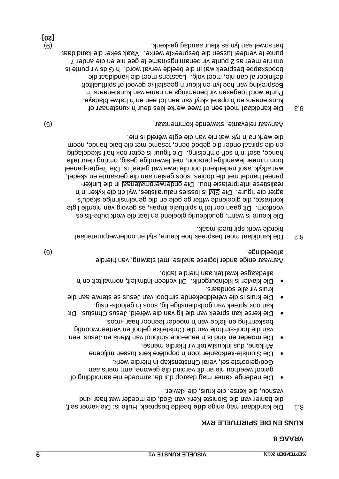#### **KUNS EN DIE SPIRITUELE RYK**

- Die kamer self, : Hulle is . beelde bespreek **drie** mag enige andidaat Die k 8.1 die banier van die Sioniste Kerk van God, die moeder wat haar kind . vashou, die kerse, die kruis, die klavier
- Die nederige kamer mag daarop dui dat armoede nie aanbidding of geloof weerhou nie en dit verbind die gewone, arm mens aan God/geloofstelsel, veral Christenskap in hierdie werk.
- Die Sioniste-kerkbanier toon 'n populêre kerk tussen miljoene . Afrikane, dus inklusiwiteit vir hierdie mense
- Die moeder en kind is 'n eeue-oue simbool van Maria en Jesus, een van die hoof-simbole van die Christelike geloof en verteenwoordig . beskerming en liefde van 'n moeder teenoor haar kroos Die kerse kan spreek van die lig van die wêreld, Jesus Christus. Dit
- kan ook sheus van dogeprees in soos in geloofs in geloofs-insig.
- Die kruis is die wêreldbekende simbool van Jesus se sterwe aan die . kruis vir alle sondaars
- Die klavier is kleinburgerlik. Dit verleen intimiteit, normaliteit en 'n alledaagse kwaliteit aan hierdie tablo.

Aanvaar enige ander logiese analise, met stawing, van hierdie (6) . afbeeldingen is a strong strong strong strong strong strong strong strong strong strong strong strong strong strong strong strong strong strong strong strong strong strong strong strong strong strong strong strong st

les be kandidaat moet bespreek hoe kleure, styl en onderwerpmateriaal . hierdie werk spiritueel maak

Die kleure is warm, goudkleurig gloeiend en laat die werk buite-fisies Dit gaan oor tot 'n spirituele impak, as gevolg van hierdie ligte . voorkom kontraste, die gloeiende witterige gele en die geheimsinnige skadu's agter die figure. Die  $\frac{\text{CV}}{\text{CV}}$ l is lossies naturalisties, wyl dit die kyker in 'n realistiese interpretasie hou. Die onderwerpmateriaal in die Linkerpaneel handel met die dooies, soos gesien aan die geraamte en skedel, wat afkyk, asof nadenkend oor die lewe wat geleef is. Die Regter-paneel toon 'n meer lewendige persoon, met lewendige gesig, omring deur talle bia figure in 'n self-omhelsing. Die figuur is egter ook half skedelagtig en die spiraal onder die geboë bene, tesame met die baie hande, neem . die werk na 'n ryk wat nie van die egte wêreld is nie

(5) . Aanvaar relevante, stawende kommentaar

andidaat moet een of twee werke kies deur 'n kunstenaar of Die kanaar of . kunstenaars en 'n opstel skryf van een tot een en 'n halwe bladsye Punte word toegeken vir benamings en name van kunstenaars. 'n Bespreking van hoe lyn en kleur 'n geestelike gevoel of spiritualiteit definieer al dan nie, moet volg. Laastens moet die kandidaat die 'n Gids vir punte is . boodskappe bespreek wat in die beelde vervat word om nie meer as 2 punte vir benamings/name te gee nie en die ander 7 punte te verdeel tussen die bespreekte werke. Maak seker die kandidaat (9) . het sowel aan lyn as kleur aandag geskenk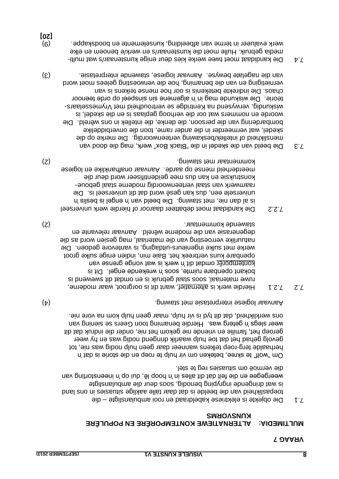#### **MULTIMEDIA: ALTERNATIEWE KONTEMPORÊRE EN POPULÊRE KUNSVORMS**

die – Die objekte is elektriese kabeldraad en rooi ambulansligte 7.1 situasies in ons land eigens is daar talle seigens in ons land beeld van die beelde is dat daar tale aan die b is wat dringende ingryping benodig, soos deur die ambulansligte weergegee en die feit dat die rand dit aangelig van die die in die die die van die van die van die v . die vermoë om situasies reg te stel

om "wolf" te skree, beteken om vir hulp te roep en die sinor en dat 'n herhaalde terg-roep telkens wanneer daar geen hulp nodig was nie, tot gevolg gehad het dat toe hulp waarlik dringend nodig was en hy weer geroep het, familie en vriende nie gekom het nie, onder die indruk dat dit weer slegs 'n geterg was. Hierdie benaming toon Geers es siening van . ons werklikheid, dat dit tyd is vir hulp, maar geen hulp kom na vore nie

(4) . Aanvaar logiese interpretasie met stawing

- 7.2 Y.2.1 Hierdie werk is alternatief, want dit is oorgroot, waar moderne, materiaal, soos staal gebruik is en omdat dit swewend is ruwe Dit is . bokant openbare ruimte, soos 'n wrekende engel kontemporêr omdat dit in werk is wat vorige grense van openbare kuns verbreek het. Baie min, indien enige sulke groot werke met sulke ingenieurs-uitdaging, is vantevore gedoen. Die natuurlike verroesting van die materiaal, mag gesien word as die degenerasie van die moderne wêreld. Aanvaar relevante en (2) . stawende kommentaar. stawende kommentaar is die staat is die staat is die staat is die staat is die staa
- P.2.2 Die kandidaat moet debatteer daaroor of hierdie werk universeel is al dan nie, met stawing. Die beeld van niepel is bei sta Die . universele een, dus kan gesê word dat dit universeel is - raamwerk van staal verteenwoordig moderne staal geboue konstruksie en kan dus mee geïdentifiseer word deur die Aanvaar op aanvaar on aanvaar onafhanklike en logiese (2) kommentaar met stawing.
- Die beeld van die skedel in die "Black Box" werk, mag die dood van 7.3 menslikheid of intellek/beskawing verteenwoordig. Die merke op die skedel, wat vermeerder in die ander rame, toon die onverbiddelike Die . bombardering van die persoon, die denke, die intellek in ons wêreld woorde en nommers wat oor die verhoog geplaas is en die skedel, is - wiskundig, verwysend na Kentridge se vertroudheid met Vrymesselaars Die wiskunde mag in 'n algemene sin sinspeel op orde teenoor . teorie Die indirekte betekenis is oor hoe mense teikens is van . chaos vernietiging en van die benaming, hoe die verwoesting gelees moet word van die nagelate bewyse. Aanvaar logiese, stawende interpretasie.
- $\mathcal{A}$  = Die kandidaat moet twee werke kies deur enige kunstenaar/s multimedia gebruik. Hulle moet die kunstenaar/s en werk/e benoem en elke (9) . werk evalueer in terme van afbeelding, kunselemente en boodskappe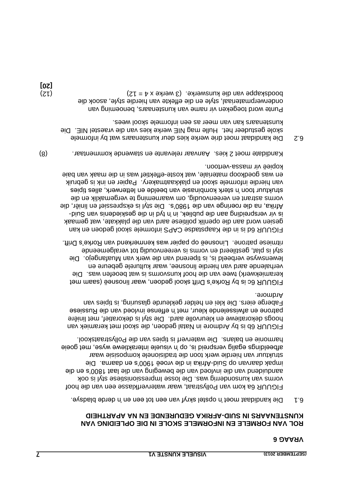#### **ROL VAN FORMELE EN INFORMELE SKOLE IN DIE OPLEIDING VAN KUNSTENARS IN SUID-AFRIKA GEDURENDE EN NA APARTHEID**

 $\cdot$  0.1 opstel skryf skryf van een tot een en derde bladsye.

FIGUUR 6a kom van Pollystraat, waar waterverfklasse een van die hoof vorms van kunsonderrig was. Die losse Impressionisiese styl is ook aib na s'0081 taal aib new panda van die beweging van die sind van die eid . amseb ne a'000t eeo vroeë na alimA-biu2 qo nevresb xaqmi struktuur van hierdie werk toon die tradisionele komposisie waar afbeeldings egalig verspreid is, op 'n visuele interaktiewe wyse, met goeie . looxates van die van die van die Pollystraatskool.

FIGUUR 6b is by Ardmore in Natal gedoen, die skool met keramiek van boogs dekoratiewe en kleurvolle aard. Die styl is dekoratiet, met liniêre patrone en afwisselende kleur, met 'n effense invloed van die Russiese Faberge eiers. Die klei en helder gekleurde glasuring, is tipies van . Ardmore

FIGUUR 6c is by Rorke's Drift skool gedoen, waar linosneë (saam met Die . keramiekwerk) twee van die hoof kunsvorms is wat beoefen was verhalende aard van hierdie linosnee, waar kulturele gebeure en Die . lewenswyse verbeeld is, is tiperend van die werk van Muafangejo styl is plat, gestileerd en vorms is vereenvoudig tot veralgemeende ritmiese patrone. Linosneë op papier was kenmerkend van Rorke's Drift.

FIGUUR 6d is in die Kaspstadse CAPS informele skool gedoen en kan gesien word aan die openlik politiese aard van die plakkate, wat gemaak - is vir verspreiding aan die publiek, in 'n tyd in die geskiedenis van Suid Afrika, na die roeringe van die 1980's. Die styl is ekspressief en liniêr, die vorms astrant en vereenvoudig, om waarneming te vergemaklik en die struktuur toon 'n sterk kombinasie van beelde en letterwerk, alles tipies van hierdie informele skool en plakkaatmakery. Papier en ink is gebruik en was goedkoop materiale, wat koste-effektief was in die maak van baie kopieë vir massa-vertoon.

(8) . Kandidate moet 2 kies. Aanvaar relevante en stawende kommentaar

6.2 Die kandidaat moet drie werke kies deur kunstenaars wat by informele Skole gestudeer het. Hulle mag NIE werke kies van die vraestel NIE. Die . kunstenaars kan van meer as een informele skool wees

Punte word toegeken vir name van kunstenaars, benoeming van onderwerpmateriaal, style en die effekte van hierdie style, asook die boodskappe van die kunswerke. (3 werke x 4 = 12)  $(12)$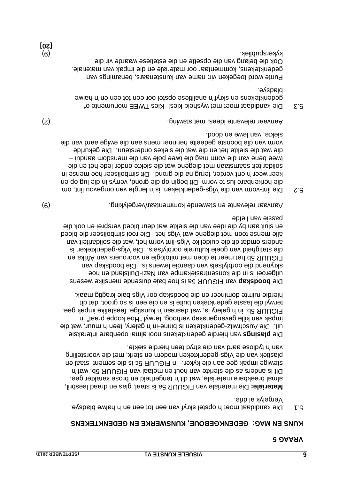#### **KUNS EN NVG: GEDENKGEBONE' KUNSWEKKE EN GEDENKLEKENS**

 $\mathcal{L}$  is represent to the type string string in the plads  $\mathcal{L}$  is  $\mathcal{L}$  is  $\mathcal{L}$  is  $\mathcal{L}$  is  $\mathcal{L}$  is  $\mathcal{L}$  is  $\mathcal{L}$  is  $\mathcal{L}$  is  $\mathcal{L}$  is  $\mathcal{L}$  is  $\mathcal{L}$  is  $\mathcal{L}$  is  $\mathcal{L}$  is  $\mathcal$ . Vergelyk al drie

Die materiale van FIGUUR 5a is staal, glas en draad leesbril, **: Materiale** almal breekbare materiale, wat dit 'n tengerheid en brose karakter gee. Dit is anders as die sterkte van hout en metaal van FIGUUR 5b, wat 'n stewige impak gee aan die kyker. In FIGUUR 5c is die sement, staal en plastiek van die Vigs-gedenkteken modern en sterk, met die voorstelling . van 'n tydlose aard van die stryd teen hierdie siekte

van hierdie gedenktekens nooi almal openbare interaksie **plasings** Die uit. Die Auschwitz-gedenkteken is binne-in 'n galery, teen 'n muur, wat die impak van kille gevangenskap verhoog, terwyl "Hoe koppe praat" in FIGUUR 5b, in 'n galery is, wat daaraan 'n kunstige, feestelike impak gee, terwyl die laaste gedenkteken buite is en die een is so groot, dat dit hierdie ruimte domineer en die boodskap oor Vigs baie kragtig maak.

van FIGUUR 5a is hoe baie duisende menslike wesens **boodskap** Die uitgeroei is in die konsentrasiekampe van Nazi-Duitsland en hoe Big boodstap van die boodstap van die oorblytsels van die poortend van die van die van die van die van die van FIGUUR 5b het meer te doen met mitologie en voorouers van Afrika en die statigheid van goeie kulturele oorblyfseld. Die Vigs-gedenkteken is alint vir vorm die solidelike Vigs-lint van het, wat die solidariteit van alle mense toon met diegene wat Vigs het. Die rooi sinboliseer die bloed en sluit aan by die idee van die siekte wat deur bloed versprei en ook die passie van liefde.

(9) . Aanvaar relevante en stawende kommentaar/vergelyking

E.2 bie lint-vorm van die Vigs-gedenkteken, is 'n lengte van omgevou lint, om die herkenbare lus te vorm. Dit begin op die grond, verrys in die lug op en keer weer 'n ent verder, terug na die grond. Dit simboliseer hoe mense in solidariteit saamstaan met diegene wat die siekte onder lede het en die twee bene van die van mag die twee pole van die mensdom aandui die wat die siekte het en die wat die siekes ondersteun. Die gekurfde vorm van die boonste gedeelte herinner mens aan die ewige aard van die siekte, van lewe en dood.

(2) . Aanvaar relevante idees, met stawing

 $5.3$  Die kandidaat moet met wysheid kies i $M_{\text{B}}$  and  $M_{\text{B}}$  and  $5.3$ gedenktekens en skryf 'n analitiese opstel oor een tot een en 'n halwe . bladsye

Punte word toegeken vir: name van kunstenaars, benamings van gedenktekens, kommentaar oor materiale en die impak van materiale. Ook die belang van die opsette en die estetiese waarde vir die (9) . kykerspubliek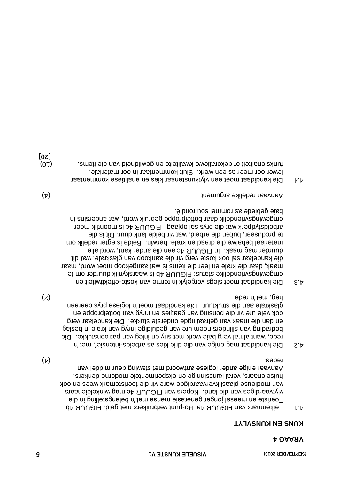#### **KUNS EN KUNSVLYT**

- 4.1 Figus bund van FIGUUR 4a: Bo-punt verbruikers met geld. FIGUUR 4b: Toeriste en meesal jonger generasie mense met 'n belangstelling in die vlytvaardiges van die land. Acopers van FIGUUR 4c mag winkeleienaars van modieuse plaaslikvervaardigde ware vir die toeristemark wees en ook . huiseienaars, veral kunssinnige en eksperimentele moderne denkers Aanvaar enige ander logiese antwoord met stawing deur middel van  $(\mathtt{t})$  . redesign to the contract of  $(\mathtt{t})$
- $\frac{1}{2}$  Die kandidaat mag enige van die drie kies as andidaat mag in  $\frac{1}{2}$ . rede, want almal verg baie werk met sny en inleg van patroonstukke. Die bedrading van silinders neem ure van geduldige inryg van krale in beslag en dan die maak van gefraaiingde onderste stukke. Die kandelaar verg ook vele ure vir die ponsing van gaatjies en inryg van bottelproppe en glaskrale aan die struktuur. Die kandidaat moet 'n logiese prys daaraan (2) . heg, met 'n rede
- 4.3 Epie kandidaat moet slegs vergelyk in terme van koste-effektiwiteit en engewingsvriendelike status: FIGUUR 4b is waarskynlik duurder om te maak, daar die krale en leer die items is wat aangekoop moet word, maar die kandelaar sal ook koste verg vir die aankoop van glaskrale, wat dit duurder mag maak. In FIGUUR 4c aan die ander kant, word alle materiaal behalwe die draad en krale, herwin. Beide is egter redelik om te produseer, buiten die arbeid, wat vir beide lank duur. Dit is die arbeidstydperk wat die prys sal opjaag. FIGUUR 4c is moontlik meer omgewingsvriendelik daar bottelproppe gebruik word, wat andersins in . baie gebiede as rommel sou rondlê

(4) . Aanvaar redelike argument

moet een vlytkunstenaar kies en analitiese kommentaar andidaat Die k 4.4 lewer oor meer as een werk. Sluit kommentaar in oor materiale, funksionaliteit of dekoratierwe kwaliteite en gewildheid van die items is an de l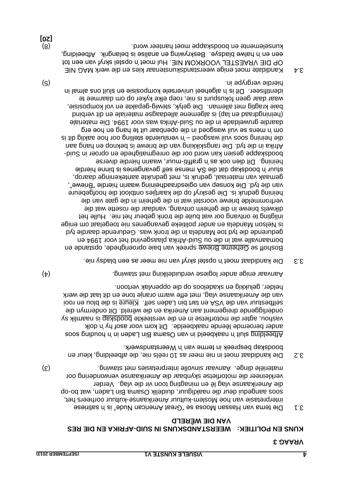#### **AFRIKA EN DIE RES - WEERSTANDSKUNS IN SUID KUNS EN POLITIEK: VAN DIE WÊRELD**

- Die tema van Hassan Moosa se "Great American Nude" is 'n satiriese 3.1 interpretasie van hoe Moslem-kultuur Amerikaanse-kultuur oorheers het, soos aaugedui deur die naakfiguur, duidelik Osama Bin Laden, wat bo-op Verder . die Amerikaanse vlag lê en minagting toon vir die vlag verkleineer die motorfietse skynbaar die Amerikaanse verwondering oor (3) . materiële dinge. Aanvaar sinvolle interpretasies met stawing
- $3.2$  Die kandidaat meer in nie meer as 10 reëls nie, die afbeelding, kleur en . boodskap bespreek in terme van 'n Weerstandswerk

soos gnibuod n' ni naakbeeld na BinnesO nev ni bleedshand soos gnibleedhament soos gnibleedhament soos afain n ander beroemde lêende naakbeelde. Dit kom voor asof hy 'n dolk vashou, agter die motorfietse in en die versteekte boodskap is naamlik sy onderliggende dreigement aan Amerika en die wêreld. Dit ondermyn die ioon ne uold eib ai enuely . Hea nebal nid hat ne ASV eib nav nuiteed lea van die Amerikaanse vlag, met effe warm oranje tone en dit laat die werk . helder, gelukkig en skadeloos op die oppervlak vertoon

Aanvaar enige ander logiese verduideliking met stawing.

3.3 moet in opstel skryf van nie meer as een bladsy nie.

Boshoff se Geheime Briewe spreek van baie oproerighede, opstande en bomaanvalle wat in die ou Suid-Afrika plaasgevind het voor 1994 en gedurende die tyd toe Mandela in die tronk was. Gedurende daardie tyd is Nelsou Maudela en ander politieke gevangenes nie toegelaat om enige inligting te ontvang oor wat buite die tronk gebeur het nie. Hulle het dikwels briewe in die geheim ontvang, vandaar die rosette wat die verfrommelde briewe voorstel wat in die geheim in die gate van die heining gedruk is. Die geskryf op die kaartjies ontbloot die hoofgebeure van die tyd. Die konsep van ogiesdraadheining waarin hierdie "Briewe", gemaak van materiaal, gedruk is, met gedrukte aantekeninge daarop, stuur 'n boodskap dat die SA mense self gevangenes is binne hierdie heining. Dit dien ook as 'n graffiti-muur, waarin hierdie diverse - boodskappe gesien kan word oor die onregmatighede en oproer in Suid Die rangskikking van die briewe is beknop en hang aan . Afrika in die tyd die hor hoe aaklig dit is 'n versluierde stelling oor hoe aaklig dit is  $\alpha$ om 'n mens se vuil wasgoed in die openbaar uit te hang en hoe erg daardie gruweldade in die ou Suid-Afrika was voor 1994. Die materiale (heiningdraad en lap) is algemene alledaagse materiale en dit verbind baie kragtig met alleman. Die gelyk, stewig-gepakte en vol komposisie, waar daar geen fokuspunt is nie, roep elke kyker op om daarmee te Dit is 'n algeheel universele komposisie en sluit ons almal in . identifiseer hierdie vergrype in. hierdie verwype in die stelling in die stelling van die stelling van die stelling van die

3.4 Kandidate moet enige weerstandskunstenaar kies en die werk MAG NIE OP DIE VRAESTEL VOORKOM NIE. Hul moet 'n opstel skryf van een tot een en 'n halwe bladsye. Beskrywing en analise is belangrik. Afbeelding, (8) . kunselemente en boodskappe moet hanteer word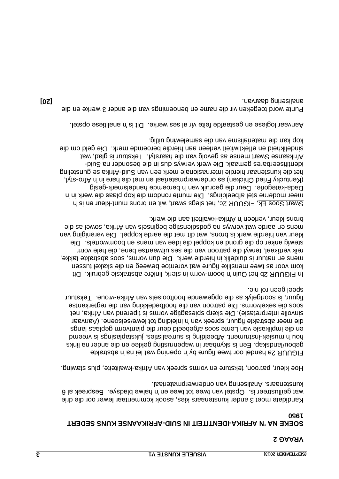#### **SOEKE NA 'N AFRIKA-IDENTITEIT IN SUID-AFRIKAANSE KUNS SEDERT 1950**

Kandidate moet 3 ander kunstenaars kies, asook kommentaar lewer oor die drie  $\theta$  is the specifie van twee tot twee en 'n halwe bladsye. Bespreek al 6 kunstenaars. Analisering van onderwerpmateriaal.

Hoe kleur, patroon, teksture en vorms spreek van Afrika-kwaliteite, plus stawing.

FIGUUR 2a handel oor twee figure by 'n opening wat lei na 'n abstrakte Een is skynbaar in wapenrusting geklee en die ander na links . gebou/landskap hmeeny ai sprissiquisties, is guideling is pribleeding in music is vreemd in und ngs en die implikasie van Lente soos afgebeeld deur die plantvorm geplaas la Aanvaar . ( die meer abstrakte figuur, spreek van 'n inleiding tot lewe/seisoene sinvolle interpretasie). Die skerp spiesagtige vorms is tiperend van Afrika, net Die patroon van die hoofbedekking van die regterkantse . soos die sekelvorms vroue. Tekstuur - soortgelyk as die opgewende hooftooisels van Afrika figuur, is . speel geen rol nie

In FIGUUR 2b het Quin 'n boom-vorm in sterk, liniêre abstraksie gebruik. Dit kom voor as twee menslike figure wat vorentoe beweeg en die skakel tussen mens en natuur is duidelik in hierdie werk. Die dun vorms, soos abstrakte takke, reik vertikaal, terwyl die patroon van die ses uitwaartse bene, die hele vorm Die . stewig anker op die grond en koppel die idee van mens en boomwortels kleur van hierdie werk is brons, wat dit met die aarde koppel. Die vereniging van mens en aarde wat verwys na godsdienstige beginsels van Afrika, sowel as die brons kleur, verleen 'n Afrika-kwaliteit aan die werk.

Swart Soos Ek, FIGUUR 2c, het slegs swart, wit en brons munt-kleur en is 'n meer moderne stel afbeeldings. Die munte rondom die kop plaas die werk in 'n Dada-kategorie. Deur die gebruik van 'n beroemde handelsmerk-gesig styl, - (Kentucky Fried Chicken) as onderwerpmateriaal en met die hare in 'n Afro Afrika se gunstenaar hierdie internasionale merk een van Suid-Afrika se gunsteling identifiseerbares gemaak. Die werk verwys dus in die besonder na Suid-Tekstuur is glad, wat mense as gevolg van die haarstyl. Tekstuur is glad, wat sindelikheid en effektiwiteit verleen aan hierdie beroemde merk. Die geld om die kop kan die materialisme van die samelewing.

. Aanvaar logiese en gestaafde feite vir al ses werke. Dit is 'n analitiese opstel

die Punte word toegeken vir die name en benoemings van die ander 3 werke en **[20]** . analisering daarvan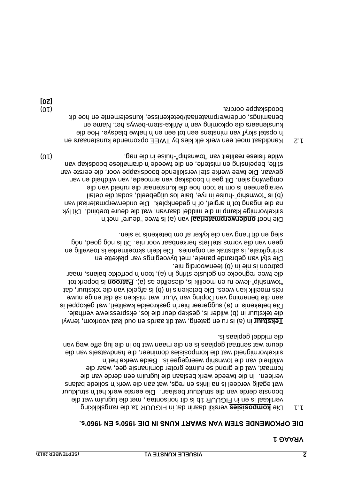#### **DIE OPKOMENDE STEM VAN SWART KUNS IN DIE 1950's EN 1960's.**

1.1 Die komposisies verskil daarin dat in FIGUUR 1a die rangskikking vertikaal is en in FIGUUR 1b is dit horisontaal, met die lugruim wat die boonste derde van die struktuur beslaan. Die eerste werk het 'n struktuur snalad balans wat egalig verdeel is na links op it na bij aan die werk is na links is na links in the verter o In die tweede werk beslaan die lugruim een derde van die . verleen formaat, wat die grond se ruimte groter dominansie gee, waar die wildheid van die township weergegee is. Beide werke het in handvatsels van die sirkelvormigheid wat die komposisies domineer, die deure wat sentraal geplaas is en die maan wat bo in die lug effe weg van . die middel geplaas is

in (a) is ru en gaterig, wat dit aards en oud laat voorkom, terwyl **Tekstuur** die tekstuur in (b) wilder is, geskep deur die los, ekspressiewe verfhale. Die betekenis in (a) suggereer hier 'n geskroeide kwaliteit, wat gekoppel is aan die benaming van Doping van Vuur, wat miskien sê dat enige nuwe reis moeilik kan wees. Die betekenis in (b) is afgelei van die tekstuur, dat tot *heperk to beperk tot neu moeilik is*, dieselfde as (a) *earned is beperk tot* die twee reghoeke en geluste string in (a), toon 'n perfekte balans, maar . patroon is nie in (b) teenwoordig nie

Die styl van gebrande panele, met byvoegings van plakette en string/krale, is abstrak en organies. Die klein skroeimerke is toevallig en geen van die vorms stel iets herkenbaar voor nie. Dit is nóg goed, nóg sleg en dit hang van die kyker af om betekenis te sien.

van (a) is twee "deure" met 'n **onderwerpmateriaal** Die hoof Sirkelvormige klamp in die middel daarvan, wat die deure toebind. Dit lyk na die ingang tot 'n argief, of 'n gedenkplek. Die onderwerpmateriaal van listab aib tabos plaedaptiu zol aisd ay ni asind-"qidanwot" si  $(d)$ die veralgemeen is om te toon hoe die kunstenaar die ruheid van omgewing sien. Dit gee 'n boodskap van armoede, van valbield en van Die twee werke stel verskillende boodskappe voor, die eerste van . gevaar stilte, bepeinsing en misterie, en die tweede 'n dramatiese boodskap van (01) . Uis in die nag het nag het nag het nag het nag het nag het nag het nag het nag het nag het nag het nag het n

Kandidaat moet een werk elk kies by TWEE opkomende kunstenaars en 1.2 in opstel skryf van minstens en tot een en 'n halwe bladsye. Hoe die kunstenaars die opkoming van 'n Afrika-stem en wan die opwa benamings, onderwerpmateriaal/betekenisse, kunselemente en hoe dit (10) . boodskappe oordra